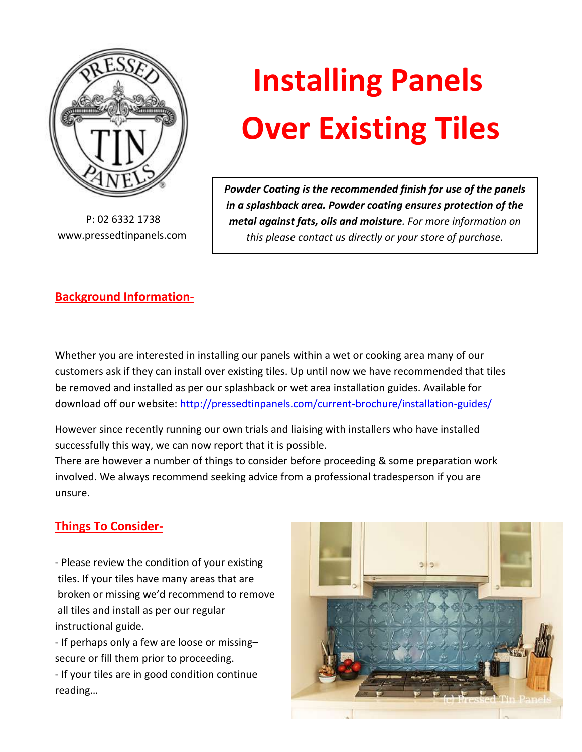

 P: 02 6332 1738 www.pressedtinpanels.com

## **Installing Panels Over Existing Tiles**

 *Powder Coating is the recommended finish for use of the panels in a splashback area. Powder coating ensures protection of the metal against fats, oils and moisture. For more information on this please contact us directly or your store of purchase.*

## **Background Information-**

Whether you are interested in installing our panels within a wet or cooking area many of our customers ask if they can install over existing tiles. Up until now we have recommended that tiles be removed and installed as per our splashback or wet area installation guides. Available for download off our website:<http://pressedtinpanels.com/current-brochure/installation-guides/>

However since recently running our own trials and liaising with installers who have installed successfully this way, we can now report that it is possible.

There are however a number of things to consider before proceeding & some preparation work involved. We always recommend seeking advice from a professional tradesperson if you are unsure.

## **Things To Consider-**

- Please review the condition of your existing tiles. If your tiles have many areas that are broken or missing we'd recommend to remove all tiles and install as per our regular instructional guide.

- If perhaps only a few are loose or missing– secure or fill them prior to proceeding.

- If your tiles are in good condition continue reading…